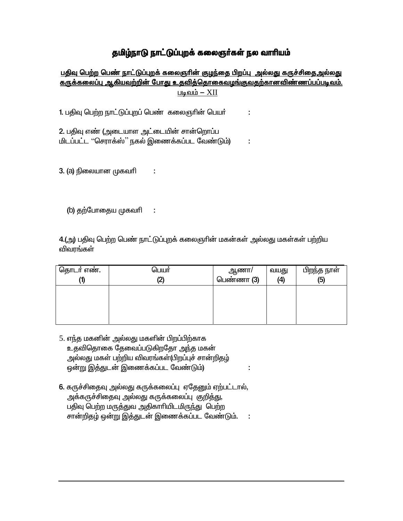## தமிழ்நாடு நாட்டுப்புறக் கலைஞர்கள் நல வாரியம்

<u>பதிவு பெற்ற பெண் நாட்டுப்புறக் கலைஞரின் குழந்தை பிறப்பு அல்லது கருச்சிதைஅல்லது </u> <u>கருக்கலைப்பு ஆகியவற்றின் போது உதவித்தொகைவழங்குவதற்கானவிண்ணப்பப்படிவம்.</u> படிவம்  $XII$ 

1. பதிவு பெற்ற நாட்டுப்புறப் பெண் கலைஞரின் பெயர் ċ

2. பதிவு எண் (அடையாள அட்டையின் சான்றொப்ப மிடப்பட்ட ''செராக்ஸ்'' நகல் இணைக்கப்பட வேண்டும்) ÷

Ì.

÷

3. (a) நிலையான முகவரி

(b) தற்போதைய முகவரி

4.(அ) பதிவு பெற்ற பெண் நாட்டுப்புறக் கலைஞரின் மகன்கள் அல்லது மகள்கள் பற்றிய விவரங்கள்

| தொடர் எண். | பெயர்<br>Œ. | ஆணா/<br>பெண்ணா (3) | வயது<br>(4) | பிறந்த நாள்<br>(5) |
|------------|-------------|--------------------|-------------|--------------------|
|            |             |                    |             |                    |
|            |             |                    |             |                    |

÷

- 5. எந்த மகனின் அல்லது மகளின் பிறப்பிற்காக உதவிதொகை தேவைப்படுகிறதோ அந்த மகன் அல்லது மகள் பற்றிய விவரங்கள்(பிறப்புச் சான்றிதழ் ஒன்று இத்துடன் இணைக்கப்பட வேண்டும்)
- 6. கருச்சிதைவு அல்லது கருக்கலைப்பு ஏதேனும் ஏற்பட்டால், அக்கருச்சிதைவு அல்லது கருக்கலைப்பு குறித்து, பதிவு பெற்ற மருத்துவ அதிகாரியிடமிருந்து பெற்ற சான்றிதழ் ஒன்று இத்துடன் இணைக்கப்பட வேண்டும்.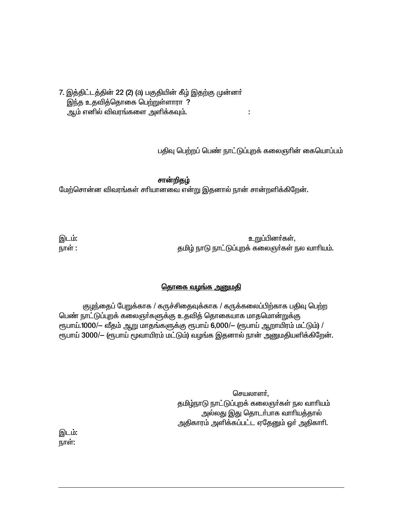7. இத்திட்டத்தின் 22 (2) (a) பகுதியின் கீழ் இதற்கு முன்னா் இந்த உதவித்தொகை பெற்றுள்ளாரா ? ஆம் எனில் விவரங்களை அளிக்கவும்.

பதிவு பெற்றப் பெண் நாட்டுப்புறக் கலைஞரின் கையொப்பம்

 $\ddot{\phantom{a}}$ 

சான்றிதழ் மேற்சொன்ன விவரங்கள் சாியானவை என்று இதனால் நான் சான்றளிக்கிறேன்.

இடம்: உறுப்பினர்கள், நாள் : தமிழ் நாடு நாட்டுப்புறக் கலைஞர்கள் நல வாரியம்.

## <u>தொகை வழங்க அனுமதி</u>

குழந்தைப் பேறுக்காக / கருச்சிதைவுக்காக / கருக்கலைப்பிற்காக பதிவு பெற்ற பெண் நாட்டுப்புறக் கலைஞா்களுக்கு உதவித் தொகையாக மாதமொன்றுக்கு ரூபாய்.1000/- வீதம் ஆறு மாதங்களுக்கு ரூபாய் 6,000/- (ரூபாய் ஆறாயிரம் மட்டும்) / ரூபாய் 3000/- (ரூபாய் மூவாயிரம் மட்டும்) வழங்க இதனால் நான் அனுமதியளிக்கிறேன்.

> செயலாளா், தமிழ்நாடு நாட்டுப்புறக் கலைஞர்கள் நல வாரியம் அல்லது இது தொடர்பாக வாரியத்தால் அதிகாரம் அளிக்கப்பட்ட ஏதேனும் ஓா் அதிகாாி.

இடம்: நாள்: